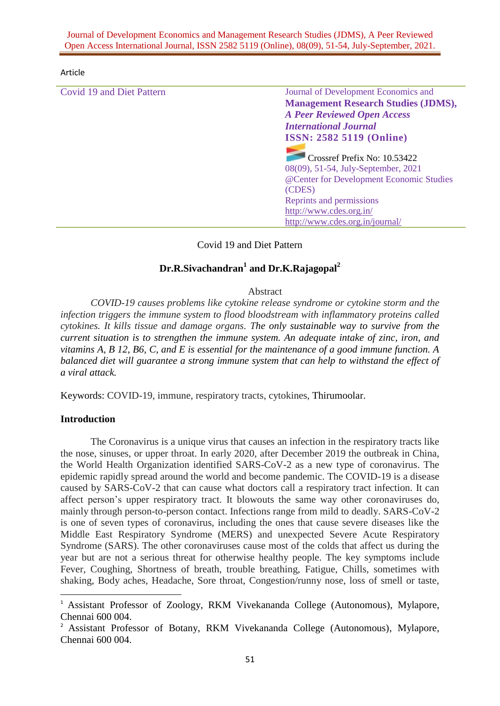### Journal of Development Economics and Management Research Studies (JDMS), A Peer Reviewed Open Access International Journal, ISSN 2582 5119 (Online), 08(09), 51-54, July-September, 2021.

#### Article

Covid 19 and Diet Pattern Journal of Development Economics and **Management Research Studies (JDMS),**  *A Peer Reviewed Open Access International Journal* **ISSN: 2582 5119 (Online)** Crossref Prefix No: 10.53422 08(09), 51-54, July-September, 2021 @Center for Development Economic Studies (CDES) Reprints and permissions <http://www.cdes.org.in/> <http://www.cdes.org.in/journal/>

Covid 19 and Diet Pattern

# **Dr.R.Sivachandran<sup>1</sup> and Dr.K.Rajagopal<sup>2</sup>**

#### Abstract

*COVID-19 causes problems like cytokine release syndrome or cytokine storm and the infection triggers the immune system to flood bloodstream with inflammatory proteins called cytokines. It kills tissue and damage organs. The only sustainable way to survive from the current situation is to strengthen the immune system. An adequate intake of zinc, iron, and vitamins A, B 12, B6, C, and E is essential for the maintenance of a good immune function. A balanced diet will guarantee a strong immune system that can help to withstand the effect of a viral attack.*

Keywords: COVID-19, immune, respiratory tracts, cytokines, Thirumoolar.

## **Introduction**

 $\overline{a}$ 

The Coronavirus is a unique virus that causes an infection in the respiratory tracts like the nose, sinuses, or upper throat. In early 2020, after December 2019 the outbreak in China, the World Health Organization identified SARS-CoV-2 as a new type of coronavirus. The epidemic rapidly spread around the world and become pandemic. The COVID-19 is a disease caused by SARS-CoV-2 that can cause what doctors call a respiratory tract infection. It can affect person's upper respiratory tract. It blowouts the same way other coronaviruses do, mainly through person-to-person contact. Infections range from mild to deadly. SARS-CoV-2 is one of seven types of coronavirus, including the ones that cause severe diseases like the Middle East Respiratory Syndrome (MERS) and unexpected Severe Acute Respiratory Syndrome (SARS). The other coronaviruses cause most of the colds that affect us during the year but are not a serious threat for otherwise healthy people. The key symptoms include Fever, Coughing, Shortness of breath, trouble breathing, Fatigue, Chills, sometimes with shaking, Body aches, Headache, Sore throat, Congestion/runny nose, loss of smell or taste,

<sup>&</sup>lt;sup>1</sup> Assistant Professor of Zoology, RKM Vivekananda College (Autonomous), Mylapore, Chennai 600 004.

<sup>&</sup>lt;sup>2</sup> Assistant Professor of Botany, RKM Vivekananda College (Autonomous), Mylapore, Chennai 600 004.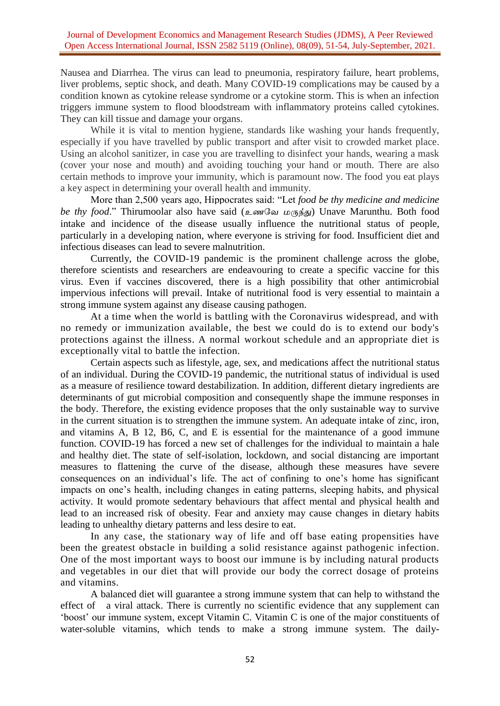Nausea and Diarrhea. The virus can lead to pneumonia, respiratory failure, heart problems, liver problems, septic shock, and death. Many COVID-19 complications may be caused by a condition known as cytokine release syndrome or a cytokine storm. This is when an infection triggers immune system to flood bloodstream with inflammatory proteins called cytokines. They can kill tissue and damage your organs.

While it is vital to mention hygiene, standards like washing your hands frequently, especially if you have travelled by public transport and after visit to crowded market place. Using an alcohol sanitizer, in case you are travelling to disinfect your hands, wearing a mask (cover your nose and mouth) and avoiding touching your hand or mouth. There are also certain methods to improve your immunity, which is paramount now. The food you eat plays a key aspect in determining your overall health and immunity.

More than 2,500 years ago, Hippocrates said: "Let *food be thy medicine and medicine be thy food*." Thirumoolar also have said (*உணவே மருந்து*) Unave Marunthu. Both food intake and incidence of the disease usually influence the nutritional status of people, particularly in a developing nation, where everyone is striving for food. Insufficient diet and infectious diseases can lead to severe malnutrition.

Currently, the COVID-19 pandemic is the prominent challenge across the globe, therefore scientists and researchers are endeavouring to create a specific vaccine for this virus. Even if vaccines discovered, there is a high possibility that other antimicrobial impervious infections will prevail. Intake of nutritional food is very essential to maintain a strong immune system against any disease causing pathogen.

At a time when the world is battling with the Coronavirus widespread, and with no remedy or immunization available, the best we could do is to extend our body's protections against the illness. A normal workout schedule and an appropriate diet is exceptionally vital to battle the infection.

Certain aspects such as lifestyle, age, sex, and medications affect the nutritional status of an individual. During the COVID-19 pandemic, the nutritional status of individual is used as a measure of resilience toward destabilization. In addition, different dietary ingredients are determinants of gut microbial composition and consequently shape the immune responses in the body. Therefore, the existing evidence proposes that the only sustainable way to survive in the current situation is to strengthen the immune system. An adequate intake of zinc, iron, and vitamins A, B 12, B6, C, and E is essential for the maintenance of a good immune function. COVID-19 has forced a new set of challenges for the individual to maintain a hale and healthy diet. The state of self-isolation, lockdown, and social distancing are important measures to flattening the curve of the disease, although these measures have severe consequences on an individual's life. The act of confining to one's home has significant impacts on one's health, including changes in eating patterns, sleeping habits, and physical activity. It would promote sedentary behaviours that affect mental and physical health and lead to an increased risk of obesity. Fear and anxiety may cause changes in dietary habits leading to unhealthy dietary patterns and less desire to eat.

In any case, the stationary way of life and off base eating propensities have been the greatest obstacle in building a solid resistance against pathogenic infection. One of the most important ways to boost our immune is by including natural products and vegetables in our diet that will provide our body the correct dosage of proteins and vitamins.

A balanced diet will guarantee a strong immune system that can help to withstand the effect of a viral attack. There is currently no scientific evidence that any supplement can 'boost' our immune system, except Vitamin C. Vitamin C is one of the major constituents of water-soluble vitamins, which tends to make a strong immune system. The daily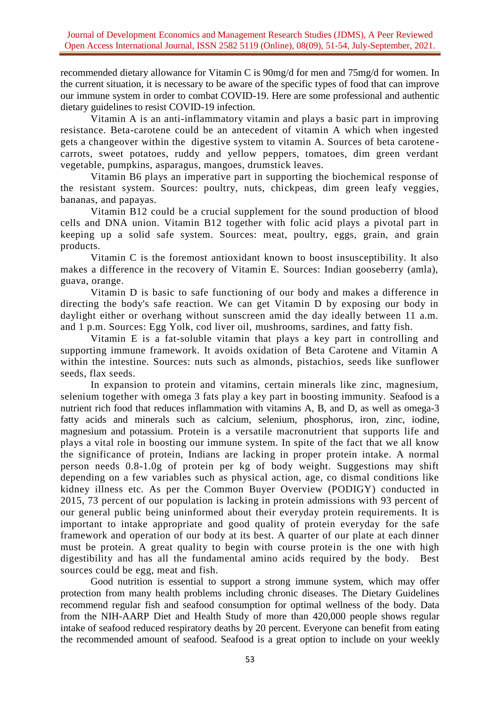recommended dietary allowance for Vitamin C is 90mg/d for men and 75mg/d for women. In the current situation, it is necessary to be aware of the specific types of food that can improve our immune system in order to combat COVID-19. Here are some professional and authentic dietary guidelines to resist COVID-19 infection.

Vitamin A is an anti-inflammatory vitamin and plays a basic part in improving resistance. Beta-carotene could be an antecedent of vitamin A which when ingested gets a changeover within the digestive system to vitamin A. Sources of beta carotene carrots, sweet potatoes, ruddy and yellow peppers, tomatoes, dim green verdant vegetable, pumpkins, asparagus, mangoes, drumstick leaves.

Vitamin B6 plays an imperative part in supporting the biochemical response of the resistant system. Sources: poultry, nuts, chickpeas, dim green leafy veggies, bananas, and papayas.

Vitamin B12 could be a crucial supplement for the sound production of blood cells and DNA union. Vitamin B12 together with folic acid plays a pivotal part in keeping up a solid safe system. Sources: meat, poultry, eggs, grain, and grain products.

Vitamin C is the foremost antioxidant known to boost insusceptibility. It also makes a difference in the recovery of Vitamin E. Sources: Indian gooseberry (amla), guava, orange.

Vitamin D is basic to safe functioning of our body and makes a difference in directing the body's safe reaction. We can get Vitamin D by exposing our body in daylight either or overhang without sunscreen amid the day ideally between 11 a.m. and 1 p.m. Sources: Egg Yolk, cod liver oil, mushrooms, sardines, and fatty fish.

Vitamin E is a fat-soluble vitamin that plays a key part in controlling and supporting immune framework. It avoids oxidation of Beta Carotene and Vitamin A within the intestine. Sources: nuts such as almonds, pistachios, seeds like sunflower seeds, flax seeds.

In expansion to protein and vitamins, certain minerals like zinc, magnesium, selenium together with omega 3 fats play a key part in boosting immunity. Seafood is a nutrient rich food that reduces inflammation with vitamins A, B, and D, as well as omega-3 fatty acids and minerals such as calcium, selenium, phosphorus, iron, zinc, iodine, magnesium and potassium. Protein is a versatile macronutrient that supports life and plays a vital role in boosting our immune system. In spite of the fact that we all know the significance of protein, Indians are lacking in proper protein intake. A normal person needs 0.8-1.0g of protein per kg of body weight. Suggestions may shift depending on a few variables such as physical action, age, co dismal conditions like kidney illness etc. As per the Common Buyer Overview (PODIGY) conducted in 2015, 73 percent of our population is lacking in protein admissions with 93 percent of our general public being uninformed about their everyday protein requirements. It is important to intake appropriate and good quality of protein everyday for the safe framework and operation of our body at its best. A quarter of our plate at each dinner must be protein. A great quality to begin with course protein is the one with high digestibility and has all the fundamental amino acids required by the body. Best sources could be egg, meat and fish.

Good nutrition is essential to support a strong immune system, which may offer protection from many health problems including chronic diseases. The Dietary Guidelines recommend regular fish and seafood consumption for optimal wellness of the body. Data from the NIH-AARP Diet and Health Study of more than 420,000 people shows regular intake of seafood reduced respiratory deaths by 20 percent. Everyone can benefit from eating the recommended amount of seafood. Seafood is a great option to include on your weekly